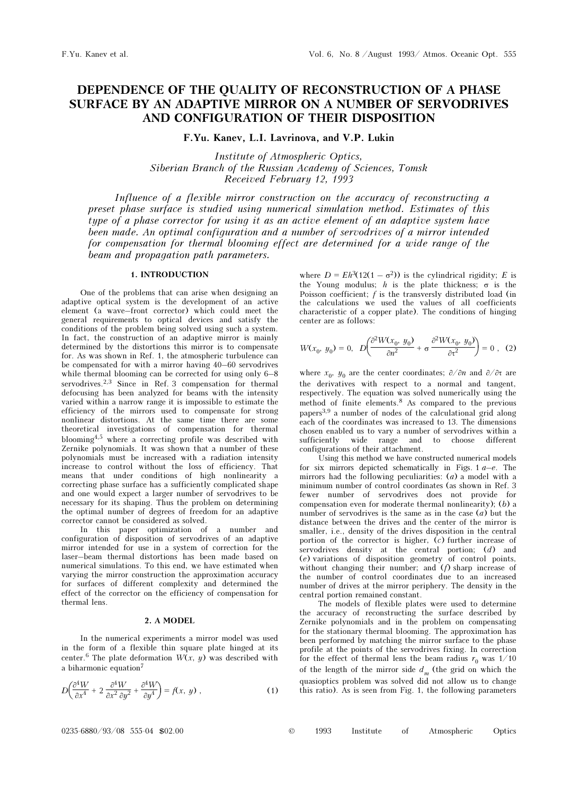# DEPENDENCE OF THE QUALITY OF RECONSTRUCTION OF A PHASE SURFACE BY AN ADAPTIVE MIRROR ON A NUMBER OF SERVODRIVES AND CONFIGURATION OF THEIR DISPOSITION

F.Yu. Kanev, L.I. Lavrinova, and V.P. Lukin

Institute of Atmospheric Optics, Siberian Branch of the Russian Academy of Sciences, Tomsk Received February 12, 1993

Influence of a flexible mirror construction on the accuracy of reconstructing a preset phase surface is studied using numerical simulation method. Estimates of this type of a phase corrector for using it as an active element of an adaptive system have been made. An optimal configuration and a number of servodrives of a mirror intended for compensation for thermal blooming effect are determined for a wide range of the beam and propagation path parameters.

## 1. INTRODUCTION

One of the problems that can arise when designing an adaptive optical system is the development of an active element (a wave–front corrector) which could meet the general requirements to optical devices and satisfy the conditions of the problem being solved using such a system. In fact, the construction of an adaptive mirror is mainly determined by the distortions this mirror is to compensate for. As was shown in Ref. 1, the atmospheric turbulence can be compensated for with a mirror having 40–60 servodrives while thermal blooming can be corrected for using only 6–8 servodrives.2,3 Since in Ref. 3 compensation for thermal defocusing has been analyzed for beams with the intensity varied within a narrow range it is impossible to estimate the efficiency of the mirrors used to compensate for strong nonlinear distortions. At the same time there are some theoretical investigations of compensation for thermal blooming4,5 where a correcting profile was described with Zernike polynomials. It was shown that a number of these polynomials must be increased with a radiation intensity increase to control without the loss of efficiency. That means that under conditions of high nonlinearity a correcting phase surface has a sufficiently complicated shape and one would expect a larger number of servodrives to be necessary for its shaping. Thus the problem on determining the optimal number of degrees of freedom for an adaptive corrector cannot be considered as solved.

In this paper optimization of a number and configuration of disposition of servodrives of an adaptive mirror intended for use in a system of correction for the laser–beam thermal distortions has been made based on numerical simulations. To this end, we have estimated when varying the mirror construction the approximation accuracy for surfaces of different complexity and determined the effect of the corrector on the efficiency of compensation for thermal lens.

## 2. A MODEL

In the numerical experiments a mirror model was used in the form of a flexible thin square plate hinged at its center.<sup>6</sup> The plate deformation  $W(x, y)$  was described with a biharmonic equation<sup>7</sup>

$$
D\left(\frac{\partial^4 W}{\partial x^4} + 2\frac{\partial^4 W}{\partial x^2 \partial y^2} + \frac{\partial^4 W}{\partial y^4}\right) = f(x, y) ,
$$
 (1)

where  $D = Eh^3(12(1 - \sigma^2))$  is the cylindrical rigidity; E is the Young modulus; h is the plate thickness;  $\sigma$  is the Poisson coefficient;  $f$  is the transversly distributed load (in the calculations we used the values of all coefficients characteristic of a copper plate). The conditions of hinging center are as follows:

$$
W(x_0, y_0) = 0, \quad D\left(\frac{\partial^2 W(x_0, y_0)}{\partial n^2} + \sigma \frac{\partial^2 W(x_0, y_0)}{\partial \tau^2}\right) = 0 \quad , \quad (2)
$$

where  $x_0$ ,  $y_0$  are the center coordinates;  $\partial/\partial n$  and  $\partial/\partial \tau$  are the derivatives with respect to a normal and tangent, respectively. The equation was solved numerically using the method of finite elements.8 As compared to the previous papers3,9 a number of nodes of the calculational grid along each of the coordinates was increased to 13. The dimensions chosen enabled us to vary a number of servodrives within a sufficiently wide range and to choose different configurations of their attachment.

Using this method we have constructed numerical models for six mirrors depicted schematically in Figs.  $1 a-e$ . The mirrors had the following peculiarities:  $(a)$  a model with a minimum number of control coordinates (as shown in Ref. 3 fewer number of servodrives does not provide for compensation even for moderate thermal nonlinearity); (b) a number of servodrives is the same as in the case  $(a)$  but the distance between the drives and the center of the mirror is smaller, i.e., density of the drives disposition in the central portion of the corrector is higher, (c) further increase of servodrives density at the central portion;  $(d)$  and (e) variations of disposition geometry of control points, without changing their number; and  $(f)$  sharp increase of the number of control coordinates due to an increased number of drives at the mirror periphery. The density in the central portion remained constant.

The models of flexible plates were used to determine the accuracy of reconstructing the surface described by Zernike polynomials and in the problem on compensating for the stationary thermal blooming. The approximation has been performed by matching the mirror surface to the phase profile at the points of the servodrives fixing. In correction for the effect of thermal lens the beam radius  $r_0$  was 1/10 of the length of the mirror side  $d_m$  (the grid on which the quasioptics problem was solved did not allow us to change this ratio). As is seen from Fig. 1, the following parameters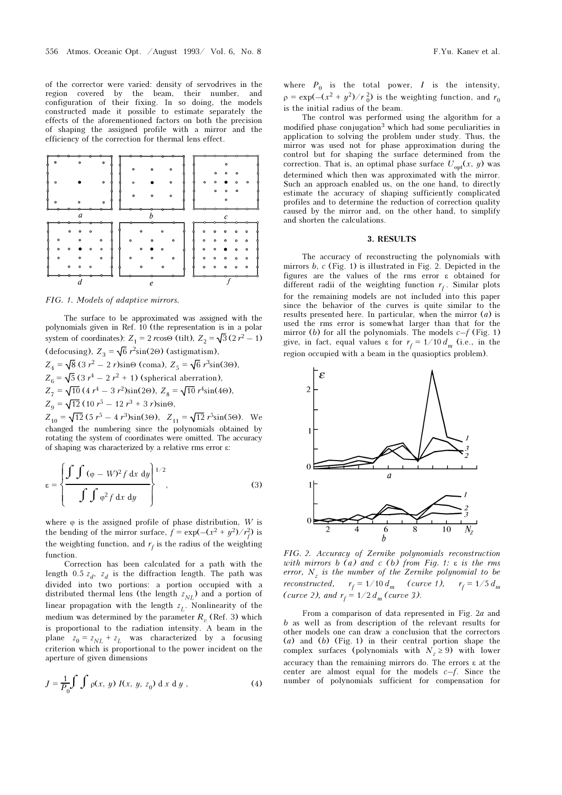of the corrector were varied: density of servodrives in the region covered by the beam, their number, and configuration of their fixing. In so doing, the models constructed made it possible to estimate separately the effects of the aforementioned factors on both the precision of shaping the assigned profile with a mirror and the efficiency of the correction for thermal lens effect.



FIG. 1. Models of adaptive mirrors.

The surface to be approximated was assigned with the polynomials given in Ref. 10 (the representation is in a polar system of coordinates):  $Z_1 = 2 r \cos\Theta$  (tilt),  $Z_2 = \sqrt{3} (2 r^2 - 1)$ (defocusing),  $Z_3 = \sqrt{6} r^2 \sin(2\Theta)$  (astigmatism),

 $Z_4 = \sqrt{8} (3 r^2 - 2 r) \sin\Theta$  (coma),  $Z_5 = \sqrt{6} r^3 \sin(3\Theta)$ ,  $Z_6 = \sqrt{5} (3 r^4 - 2 r^2 + 1)$  (spherical aberration),  $Z_7 = \sqrt{10} (4 r^4 - 3 r^2) \sin(2\Theta), Z_8 = \sqrt{10} r^4 \sin(4\Theta),$  $Z_9 = \sqrt{12} (10 r^5 - 12 r^3 + 3 r) \sin \Theta,$ 

 $Z_{10} = \sqrt{12} (5 r^5 - 4 r^3) \sin(3\Theta), Z_{11} = \sqrt{12} r^5 \sin(5\Theta).$  We changed the numbering since the polynomials obtained by rotating the system of coordinates were omitted. The accuracy of shaping was characterized by a relative rms error ε:

$$
\varepsilon = \left\{ \frac{\int \int (\varphi - W)^2 f \, dx \, dy}{\int \int \varphi^2 f \, dx \, dy} \right\}^{1/2},\tag{3}
$$

where  $\varphi$  is the assigned profile of phase distribution,  $W$  is the bending of the mirror surface,  $\vec{f} = \exp(-(x^2 + y^2)/r_f^2)$  is the weighting function, and  $r_f$  is the radius of the weighting function.

Correction has been calculated for a path with the length 0.5  $z_d$ ,  $z_d$  is the diffraction length. The path was divided into two portions: a portion occupied with a distributed thermal lens (the length  $z_{NL}$ ) and a portion of linear propagation with the length  $z<sub>L</sub>$ . Nonlinearity of the medium was determined by the parameter  $R_{\alpha}$  (Ref. 3) which is proportional to the radiation intensity. A beam in the plane  $z_0 = z_{NL} + z_L$  was characterized by a focusing criterion which is proportional to the power incident on the aperture of given dimensions

$$
J = \frac{1}{P_0} \int \int \rho(x, y) I(x, y, z_0) \, dx \, dy , \qquad (4)
$$

where  $P_0$  is the total power,  $I$  is the intensity,  $\rho = \exp(-(x^2 + y^2)/r_0^2)$  is the weighting function, and  $r_0$ is the initial radius of the beam.

The control was performed using the algorithm for a modified phase conjugation<sup>3</sup> which had some peculiarities in application to solving the problem under study. Thus, the mirror was used not for phase approximation during the control but for shaping the surface determined from the correction. That is, an optimal phase surface  $U_{\text{opt}}(x, y)$  was determined which then was approximated with the mirror. Such an approach enabled us, on the one hand, to directly estimate the accuracy of shaping sufficiently complicated profiles and to determine the reduction of correction quality caused by the mirror and, on the other hand, to simplify and shorten the calculations.

### 3. RESULTS

The accuracy of reconstructing the polynomials with mirrors  $b, c$  (Fig. 1) is illustrated in Fig. 2. Depicted in the figures are the values of the rms error ε obtained for different radii of the weighting function  $r_f$ . Similar plots for the remaining models are not included into this paper since the behavior of the curves is quite similar to the results presented here. In particular, when the mirror  $(a)$  is used the rms error is somewhat larger than that for the mirror (b) for all the polynomials. The models  $c-f$  (Fig. 1) give, in fact, equal values  $\epsilon$  for  $r_f = 1/10 d_m$  (i.e., in the region occupied with a beam in the quasioptics problem).



FIG. 2. Accuracy of Zernike polynomials reconstruction with mirrors b (a) and c (b) from Fig. 1:  $\varepsilon$  is the rms error,  $N_z$  is the number of the Zernike polynomial to be reconstructed,  $r_f = 1/10 d_m$  (curve 1),  $r_f = 1/5 d_m$ (curve 2), and  $r_f = 1/2 d_m$  (curve 3).

From a comparison of data represented in Fig. 2a and b as well as from description of the relevant results for other models one can draw a conclusion that the correctors (a) and (b) (Fig. 1) in their central portion shape the complex surfaces (polynomials with  $N_z \ge 9$ ) with lower accuracy than the remaining mirrors do. The errors ε at the center are almost equal for the models  $c-f$ . Since the number of polynomials sufficient for compensation for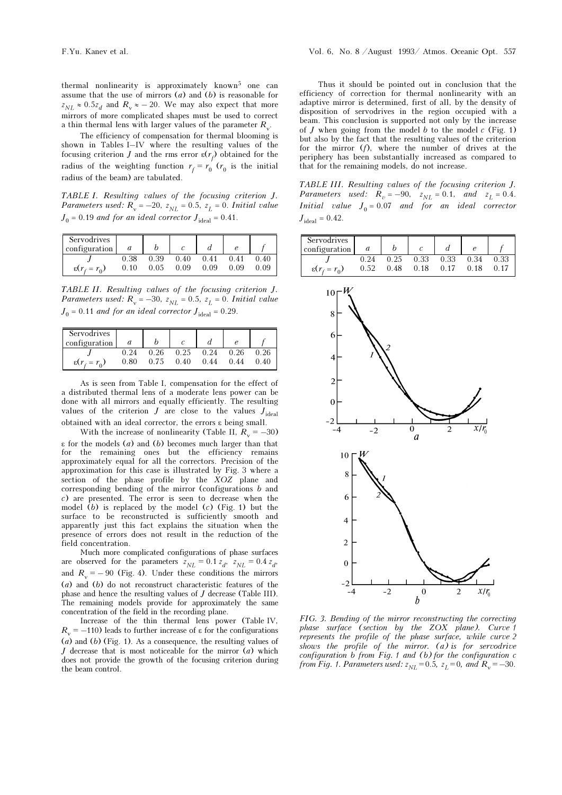thermal nonlinearity is approximately known<sup>5</sup> one can assume that the use of mirrors  $(a)$  and  $(b)$  is reasonable for  $z_{NL} \approx 0.5z_d$  and  $R_v \approx -20$ . We may also expect that more mirrors of more complicated shapes must be used to correct a thin thermal lens with larger values of the parameter  $R_{y}$ .

The efficiency of compensation for thermal blooming is shown in Tables I–IV where the resulting values of the focusing criterion *J* and the rms error  $\varepsilon(r_f)$  obtained for the radius of the weighting function  $r_f = r_0$  ( $r_0$  is the initial radius of the beam) are tabulated.

TABLE I. Resulting values of the focusing criterion J. *Parameters used:*  $R_v = -20$ ,  $z_{NL} = 0.5$ ,  $z_L = 0$ . Initial value  $J_0 = 0.19$  and for an ideal corrector  $J_{\text{ideal}} = 0.41$ .

| Servodrives<br>configuration |      |      |      |      |      |      |
|------------------------------|------|------|------|------|------|------|
|                              | 0.38 | 0.39 | 0.40 | 0.41 | 0.41 | 0 40 |
| $\epsilon(r_f = r_0)$        | 0.10 | 0.05 | 0.09 | 0.09 | 0.09 | O O9 |

TABLE II. Resulting values of the focusing criterion J. Parameters used:  $R_v = -30$ ,  $z_{NL} = 0.5$ ,  $z_L = 0$ . Initial value  $J_0 = 0.11$  and for an ideal corrector  $J_{\text{ideal}} = 0.29$ .

| Servodrives<br>configuration |      |      |      |      |      |      |
|------------------------------|------|------|------|------|------|------|
|                              |      | 0.26 | 0.25 | 0.24 | 0.26 | 0.26 |
| $\epsilon(r_f = r_0)$        | 0.80 | 0.75 | 0.40 | 0.44 | 0.44 | 0.40 |

As is seen from Table I, compensation for the effect of a distributed thermal lens of a moderate lens power can be done with all mirrors and equally efficiently. The resulting values of the criterion  $J$  are close to the values  $J_{\text{ideal}}$ obtained with an ideal corrector, the errors ε being small.

With the increase of nonlinearity (Table II,  $R_v = -30$ )  $\epsilon$  for the models (*a*) and (*b*) becomes much larger than that for the remaining ones but the efficiency remains approximately equal for all the correctors. Precision of the approximation for this case is illustrated by Fig. 3 where a section of the phase profile by the XOZ plane and corresponding bending of the mirror (configurations b and c) are presented. The error is seen to decrease when the model  $(b)$  is replaced by the model  $(c)$  (Fig. 1) but the surface to be reconstructed is sufficiently smooth and apparently just this fact explains the situation when the presence of errors does not result in the reduction of the field concentration.

Much more complicated configurations of phase surfaces are observed for the parameters  $z_{NL} = 0.1 z_d$ ,  $z_{NL} = 0.4 z_d$ , and  $R_v = -90$  (Fig. 4). Under these conditions the mirrors (a) and (b) do not reconstruct characteristic features of the phase and hence the resulting values of J decrease (Table III). The remaining models provide for approximately the same concentration of the field in the recording plane.

Increase of the thin thermal lens power (Table IV,  $R_{v} = -110$ ) leads to further increase of ε for the configurations  $(a)$  and  $(b)$  (Fig. 1). As a consequence, the resulting values of J decrease that is most noticeable for the mirror  $(a)$  which does not provide the growth of the focusing criterion during the beam control.

Thus it should be pointed out in conclusion that the efficiency of correction for thermal nonlinearity with an adaptive mirror is determined, first of all, by the density of disposition of servodrives in the region occupied with a beam. This conclusion is supported not only by the increase of  $J$  when going from the model  $b$  to the model  $c$  (Fig. 1) but also by the fact that the resulting values of the criterion for the mirror  $(f)$ , where the number of drives at the periphery has been substantially increased as compared to that for the remaining models, do not increase.

TABLE III. Resulting values of the focusing criterion J. Parameters used:  $R_p = -90$ ,  $z_{NL} = 0.1$ , and  $z_L = 0.4$ . *Initial value*  $J_0 = 0.07$  *and for an ideal corrector*  $J_{\text{ideal}} = 0.42$ .



FIG. 3. Bending of the mirror reconstructing the correcting phase surface (section by the ZOX plane). Curve 1 represents the profile of the phase surface, while curve 2 shows the profile of the mirror.  $(a)$  is for servodrive configuration b from Fig. 1 and (b) for the configuration c from Fig. 1. Parameters used:  $z_{NL} = 0.5$ ,  $z_L = 0$ , and  $R_v = -30$ .